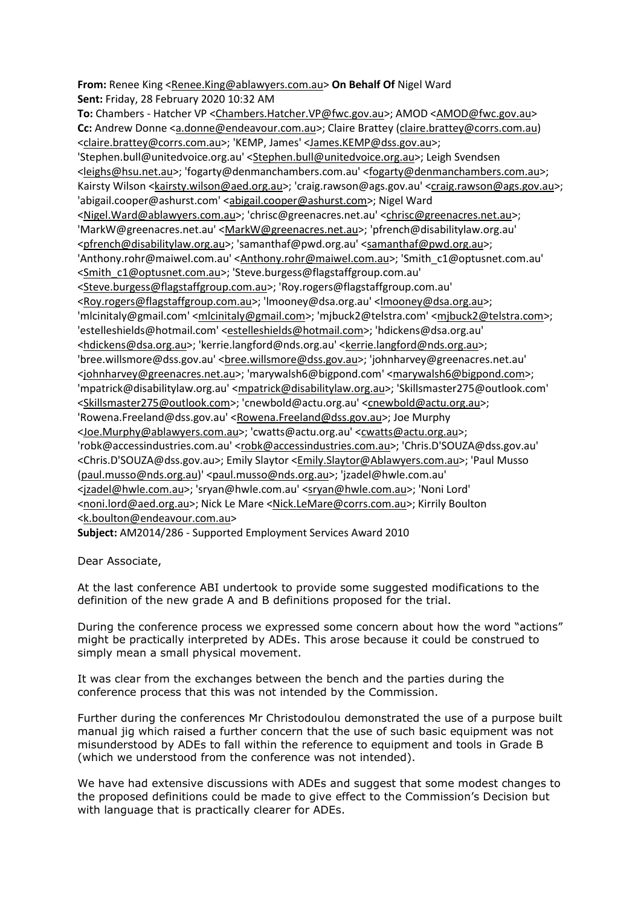**From:** Renee King [<Renee.King@ablawyers.com.au>](mailto:Renee.King@ablawyers.com.au) **On Behalf Of** Nigel Ward **Sent:** Friday, 28 February 2020 10:32 AM

**To:** Chambers - Hatcher VP [<Chambers.Hatcher.VP@fwc.gov.au>](mailto:Chambers.Hatcher.VP@fwc.gov.au); AMOD [<AMOD@fwc.gov.au>](mailto:AMOD@fwc.gov.au) **Cc:** Andrew Donne [<a.donne@endeavour.com.au>](mailto:a.donne@endeavour.com.au); Claire Brattey [\(claire.brattey@corrs.com.au\)](mailto:claire.brattey@corrs.com.au) [<claire.brattey@corrs.com.au>](mailto:claire.brattey@corrs.com.au); 'KEMP, James' [<James.KEMP@dss.gov.au>](mailto:James.KEMP@dss.gov.au); 'Stephen.bull@unitedvoice.org.au' [<Stephen.bull@unitedvoice.org.au>](mailto:Stephen.bull@unitedvoice.org.au); Leigh Svendsen [<leighs@hsu.net.au>](mailto:leighs@hsu.net.au); 'fogarty@denmanchambers.com.au' [<fogarty@denmanchambers.com.au>](mailto:fogarty@denmanchambers.com.au); Kairsty Wilson [<kairsty.wilson@aed.org.au>](mailto:kairsty.wilson@aed.org.au); 'craig.rawson@ags.gov.au' [<craig.rawson@ags.gov.au>](mailto:craig.rawson@ags.gov.au); 'abigail.cooper@ashurst.com' [<abigail.cooper@ashurst.com>](mailto:abigail.cooper@ashurst.com); Nigel Ward [<Nigel.Ward@ablawyers.com.au>](mailto:Nigel.Ward@ablawyers.com.au); 'chrisc@greenacres.net.au' [<chrisc@greenacres.net.au>](mailto:chrisc@greenacres.net.au); 'MarkW@greenacres.net.au' [<MarkW@greenacres.net.au>](mailto:MarkW@greenacres.net.au); 'pfrench@disabilitylaw.org.au' [<pfrench@disabilitylaw.org.au>](mailto:pfrench@disabilitylaw.org.au); 'samanthaf@pwd.org.au' [<samanthaf@pwd.org.au>](mailto:samanthaf@pwd.org.au); 'Anthony.rohr@maiwel.com.au' [<Anthony.rohr@maiwel.com.au>](mailto:Anthony.rohr@maiwel.com.au); 'Smith\_c1@optusnet.com.au' [<Smith\\_c1@optusnet.com.au>](mailto:Smith_c1@optusnet.com.au); 'Steve.burgess@flagstaffgroup.com.au' [<Steve.burgess@flagstaffgroup.com.au>](mailto:Steve.burgess@flagstaffgroup.com.au); 'Roy.rogers@flagstaffgroup.com.au' [<Roy.rogers@flagstaffgroup.com.au>](mailto:Roy.rogers@flagstaffgroup.com.au); 'lmooney@dsa.org.au' [<lmooney@dsa.org.au>](mailto:lmooney@dsa.org.au); 'mlcinitaly@gmail.com' [<mlcinitaly@gmail.com>](mailto:mlcinitaly@gmail.com); 'mjbuck2@telstra.com' [<mjbuck2@telstra.com>](mailto:mjbuck2@telstra.com); 'estelleshields@hotmail.com' [<estelleshields@hotmail.com>](mailto:estelleshields@hotmail.com); 'hdickens@dsa.org.au' [<hdickens@dsa.org.au>](mailto:hdickens@dsa.org.au); 'kerrie.langford@nds.org.au' [<kerrie.langford@nds.org.au>](mailto:kerrie.langford@nds.org.au); 'bree.willsmore@dss.gov.au' [<bree.willsmore@dss.gov.au>](mailto:bree.willsmore@dss.gov.au); 'johnharvey@greenacres.net.au' [<johnharvey@greenacres.net.au>](mailto:johnharvey@greenacres.net.au); 'marywalsh6@bigpond.com' [<marywalsh6@bigpond.com>](mailto:marywalsh6@bigpond.com); 'mpatrick@disabilitylaw.org.au' [<mpatrick@disabilitylaw.org.au>](mailto:mpatrick@disabilitylaw.org.au); 'Skillsmaster275@outlook.com' [<Skillsmaster275@outlook.com>](mailto:Skillsmaster275@outlook.com); 'cnewbold@actu.org.au' [<cnewbold@actu.org.au>](mailto:cnewbold@actu.org.au); 'Rowena.Freeland@dss.gov.au' [<Rowena.Freeland@dss.gov.au>](mailto:Rowena.Freeland@dss.gov.au); Joe Murphy [<Joe.Murphy@ablawyers.com.au>](mailto:Joe.Murphy@ablawyers.com.au); 'cwatts@actu.org.au' [<cwatts@actu.org.au>](mailto:cwatts@actu.org.au); 'robk@accessindustries.com.au' [<robk@accessindustries.com.au>](mailto:robk@accessindustries.com.au); 'Chris.D'SOUZA@dss.gov.au' <Chris.D'SOUZA@dss.gov.au>; Emily Slaytor [<Emily.Slaytor@Ablawyers.com.au>](mailto:Emily.Slaytor@Ablawyers.com.au); 'Paul Musso [\(paul.musso@nds.org.au\)](mailto:paul.musso@nds.org.au)' [<paul.musso@nds.org.au>](mailto:paul.musso@nds.org.au); 'jzadel@hwle.com.au' [<jzadel@hwle.com.au>](mailto:jzadel@hwle.com.au); 'sryan@hwle.com.au' [<sryan@hwle.com.au>](mailto:sryan@hwle.com.au); 'Noni Lord' [<noni.lord@aed.org.au>](mailto:noni.lord@aed.org.au); Nick Le Mare [<Nick.LeMare@corrs.com.au>](mailto:Nick.LeMare@corrs.com.au); Kirrily Boulton [<k.boulton@endeavour.com.au>](mailto:k.boulton@endeavour.com.au)

**Subject:** AM2014/286 - Supported Employment Services Award 2010

Dear Associate,

At the last conference ABI undertook to provide some suggested modifications to the definition of the new grade A and B definitions proposed for the trial.

During the conference process we expressed some concern about how the word "actions" might be practically interpreted by ADEs. This arose because it could be construed to simply mean a small physical movement.

It was clear from the exchanges between the bench and the parties during the conference process that this was not intended by the Commission.

Further during the conferences Mr Christodoulou demonstrated the use of a purpose built manual jig which raised a further concern that the use of such basic equipment was not misunderstood by ADEs to fall within the reference to equipment and tools in Grade B (which we understood from the conference was not intended).

We have had extensive discussions with ADEs and suggest that some modest changes to the proposed definitions could be made to give effect to the Commission's Decision but with language that is practically clearer for ADEs.